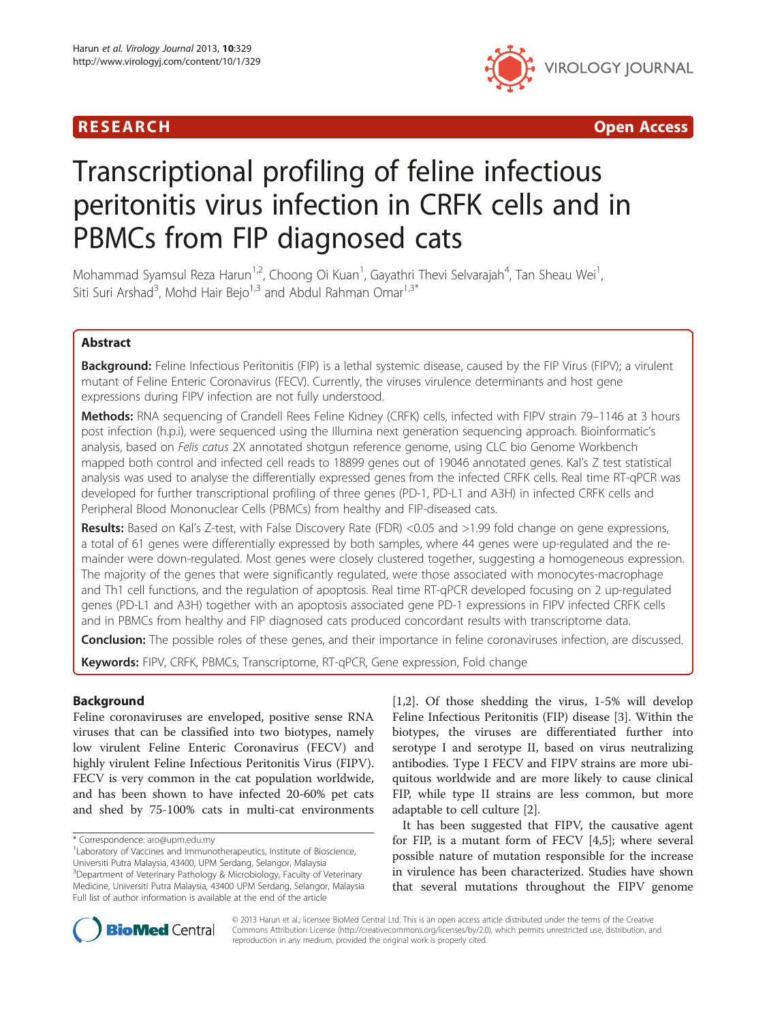## R E S EAR CH Open Access



# Transcriptional profiling of feline infectious peritonitis virus infection in CRFK cells and in PBMCs from FIP diagnosed cats

Mohammad Syamsul Reza Harun<sup>1,2</sup>, Choong Oi Kuan<sup>1</sup>, Gayathri Thevi Selvarajah<sup>4</sup>, Tan Sheau Wei<sup>1</sup> , Siti Suri Arshad<sup>3</sup>, Mohd Hair Bejo<sup>1,3</sup> and Abdul Rahman Omar<sup>1,3\*</sup>

## Abstract

Background: Feline Infectious Peritonitis (FIP) is a lethal systemic disease, caused by the FIP Virus (FIPV); a virulent mutant of Feline Enteric Coronavirus (FECV). Currently, the viruses virulence determinants and host gene expressions during FIPV infection are not fully understood.

Methods: RNA sequencing of Crandell Rees Feline Kidney (CRFK) cells, infected with FIPV strain 79-1146 at 3 hours post infection (h.p.i), were sequenced using the Illumina next generation sequencing approach. Bioinformatic's analysis, based on Felis catus 2X annotated shotgun reference genome, using CLC bio Genome Workbench mapped both control and infected cell reads to 18899 genes out of 19046 annotated genes. Kal's Z test statistical analysis was used to analyse the differentially expressed genes from the infected CRFK cells. Real time RT-qPCR was developed for further transcriptional profiling of three genes (PD-1, PD-L1 and A3H) in infected CRFK cells and Peripheral Blood Mononuclear Cells (PBMCs) from healthy and FIP-diseased cats.

Results: Based on Kal's Z-test, with False Discovery Rate (FDR) <0.05 and >1.99 fold change on gene expressions, a total of 61 genes were differentially expressed by both samples, where 44 genes were up-regulated and the remainder were down-regulated. Most genes were closely clustered together, suggesting a homogeneous expression. The majority of the genes that were significantly regulated, were those associated with monocytes-macrophage and Th1 cell functions, and the regulation of apoptosis. Real time RT-qPCR developed focusing on 2 up-regulated genes (PD-L1 and A3H) together with an apoptosis associated gene PD-1 expressions in FIPV infected CRFK cells and in PBMCs from healthy and FIP diagnosed cats produced concordant results with transcriptome data.

Conclusion: The possible roles of these genes, and their importance in feline coronaviruses infection, are discussed.

Keywords: FIPV, CRFK, PBMCs, Transcriptome, RT-qPCR, Gene expression, Fold change

## Background

Feline coronaviruses are enveloped, positive sense RNA viruses that can be classified into two biotypes, namely low virulent Feline Enteric Coronavirus (FECV) and highly virulent Feline Infectious Peritonitis Virus (FIPV). FECV is very common in the cat population worldwide, and has been shown to have infected 20-60% pet cats and shed by 75-100% cats in multi-cat environments

[[1,2\]](#page-7-0). Of those shedding the virus, 1-5% will develop Feline Infectious Peritonitis (FIP) disease [[3\]](#page-7-0). Within the biotypes, the viruses are differentiated further into serotype I and serotype II, based on virus neutralizing antibodies. Type I FECV and FIPV strains are more ubiquitous worldwide and are more likely to cause clinical FIP, while type II strains are less common, but more adaptable to cell culture [[2](#page-7-0)].

It has been suggested that FIPV, the causative agent for FIP, is a mutant form of FECV [\[4,5](#page-7-0)]; where several possible nature of mutation responsible for the increase in virulence has been characterized. Studies have shown that several mutations throughout the FIPV genome



© 2013 Harun et al.; licensee BioMed Central Ltd. This is an open access article distributed under the terms of the Creative Commons Attribution License [\(http://creativecommons.org/licenses/by/2.0\)](http://creativecommons.org/licenses/by/2.0), which permits unrestricted use, distribution, and reproduction in any medium, provided the original work is properly cited.

<sup>\*</sup> Correspondence: [aro@upm.edu.my](mailto:aro@upm.edu.my) <sup>1</sup>

<sup>&</sup>lt;sup>1</sup> Laboratory of Vaccines and Immunotherapeutics, Institute of Bioscience, Universiti Putra Malaysia, 43400, UPM Serdang, Selangor, Malaysia <sup>3</sup>Department of Veterinary Pathology & Microbiology, Faculty of Veterinary Medicine, Universiti Putra Malaysia, 43400 UPM Serdang, Selangor, Malaysia Full list of author information is available at the end of the article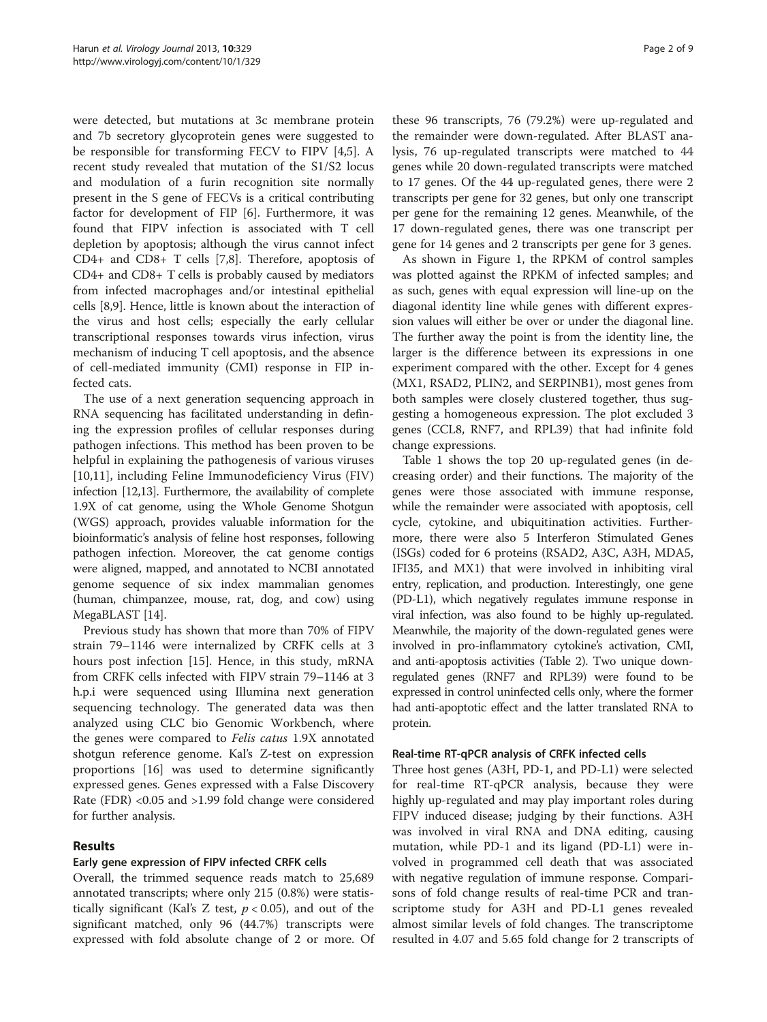were detected, but mutations at 3c membrane protein and 7b secretory glycoprotein genes were suggested to be responsible for transforming FECV to FIPV [\[4,5](#page-7-0)]. A recent study revealed that mutation of the S1/S2 locus and modulation of a furin recognition site normally present in the S gene of FECVs is a critical contributing factor for development of FIP [[6\]](#page-7-0). Furthermore, it was found that FIPV infection is associated with T cell depletion by apoptosis; although the virus cannot infect CD4+ and CD8+ T cells [\[7](#page-7-0),[8](#page-7-0)]. Therefore, apoptosis of CD4+ and CD8+ T cells is probably caused by mediators from infected macrophages and/or intestinal epithelial cells [[8](#page-7-0),[9](#page-7-0)]. Hence, little is known about the interaction of the virus and host cells; especially the early cellular transcriptional responses towards virus infection, virus mechanism of inducing T cell apoptosis, and the absence of cell-mediated immunity (CMI) response in FIP infected cats.

The use of a next generation sequencing approach in RNA sequencing has facilitated understanding in defining the expression profiles of cellular responses during pathogen infections. This method has been proven to be helpful in explaining the pathogenesis of various viruses [[10,11](#page-7-0)], including Feline Immunodeficiency Virus (FIV) infection [[12,13](#page-7-0)]. Furthermore, the availability of complete 1.9X of cat genome, using the Whole Genome Shotgun (WGS) approach, provides valuable information for the bioinformatic's analysis of feline host responses, following pathogen infection. Moreover, the cat genome contigs were aligned, mapped, and annotated to NCBI annotated genome sequence of six index mammalian genomes (human, chimpanzee, mouse, rat, dog, and cow) using MegaBLAST [\[14](#page-7-0)].

Previous study has shown that more than 70% of FIPV strain 79–1146 were internalized by CRFK cells at 3 hours post infection [[15](#page-7-0)]. Hence, in this study, mRNA from CRFK cells infected with FIPV strain 79–1146 at 3 h.p.i were sequenced using Illumina next generation sequencing technology. The generated data was then analyzed using CLC bio Genomic Workbench, where the genes were compared to Felis catus 1.9X annotated shotgun reference genome. Kal's Z-test on expression proportions [\[16\]](#page-7-0) was used to determine significantly expressed genes. Genes expressed with a False Discovery Rate (FDR) <0.05 and >1.99 fold change were considered for further analysis.

## Results

## Early gene expression of FIPV infected CRFK cells

Overall, the trimmed sequence reads match to 25,689 annotated transcripts; where only 215 (0.8%) were statistically significant (Kal's Z test,  $p < 0.05$ ), and out of the significant matched, only 96 (44.7%) transcripts were expressed with fold absolute change of 2 or more. Of

these 96 transcripts, 76 (79.2%) were up-regulated and the remainder were down-regulated. After BLAST analysis, 76 up-regulated transcripts were matched to 44 genes while 20 down-regulated transcripts were matched to 17 genes. Of the 44 up-regulated genes, there were 2 transcripts per gene for 32 genes, but only one transcript per gene for the remaining 12 genes. Meanwhile, of the 17 down-regulated genes, there was one transcript per gene for 14 genes and 2 transcripts per gene for 3 genes.

As shown in Figure [1,](#page-2-0) the RPKM of control samples was plotted against the RPKM of infected samples; and as such, genes with equal expression will line-up on the diagonal identity line while genes with different expression values will either be over or under the diagonal line. The further away the point is from the identity line, the larger is the difference between its expressions in one experiment compared with the other. Except for 4 genes (MX1, RSAD2, PLIN2, and SERPINB1), most genes from both samples were closely clustered together, thus suggesting a homogeneous expression. The plot excluded 3 genes (CCL8, RNF7, and RPL39) that had infinite fold change expressions.

Table [1](#page-3-0) shows the top 20 up-regulated genes (in decreasing order) and their functions. The majority of the genes were those associated with immune response, while the remainder were associated with apoptosis, cell cycle, cytokine, and ubiquitination activities. Furthermore, there were also 5 Interferon Stimulated Genes (ISGs) coded for 6 proteins (RSAD2, A3C, A3H, MDA5, IFI35, and MX1) that were involved in inhibiting viral entry, replication, and production. Interestingly, one gene (PD-L1), which negatively regulates immune response in viral infection, was also found to be highly up-regulated. Meanwhile, the majority of the down-regulated genes were involved in pro-inflammatory cytokine's activation, CMI, and anti-apoptosis activities (Table [2\)](#page-3-0). Two unique downregulated genes (RNF7 and RPL39) were found to be expressed in control uninfected cells only, where the former had anti-apoptotic effect and the latter translated RNA to protein.

#### Real-time RT-qPCR analysis of CRFK infected cells

Three host genes (A3H, PD-1, and PD-L1) were selected for real-time RT-qPCR analysis, because they were highly up-regulated and may play important roles during FIPV induced disease; judging by their functions. A3H was involved in viral RNA and DNA editing, causing mutation, while PD-1 and its ligand (PD-L1) were involved in programmed cell death that was associated with negative regulation of immune response. Comparisons of fold change results of real-time PCR and transcriptome study for A3H and PD-L1 genes revealed almost similar levels of fold changes. The transcriptome resulted in 4.07 and 5.65 fold change for 2 transcripts of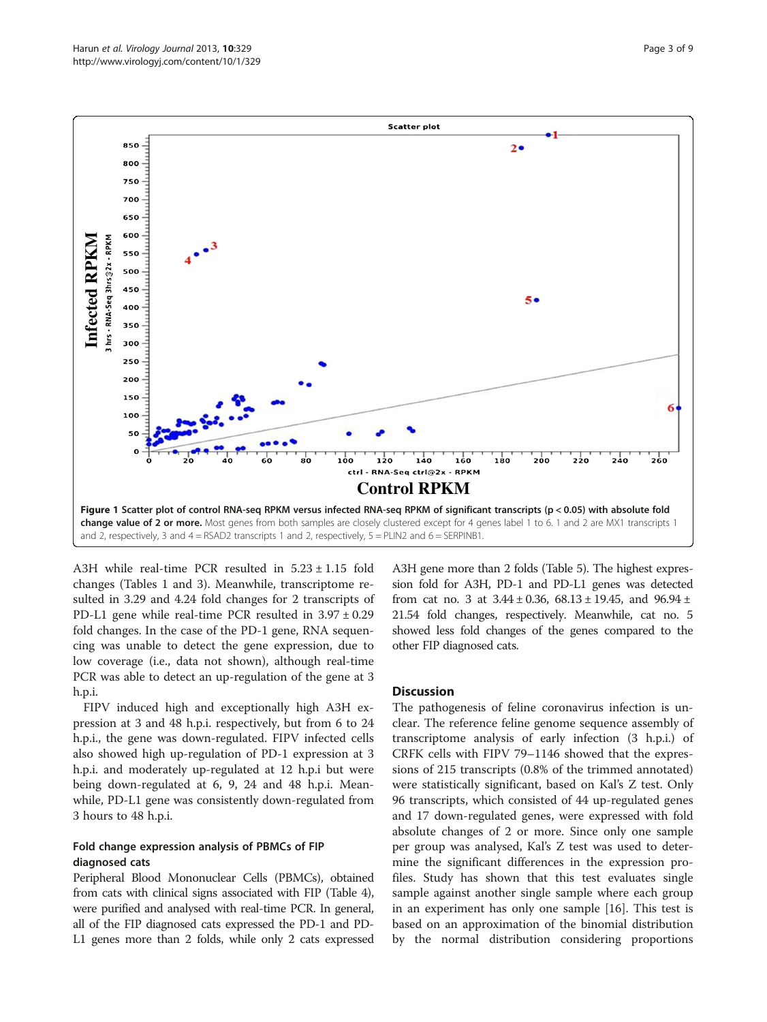<span id="page-2-0"></span>

A3H while real-time PCR resulted in  $5.23 \pm 1.15$  fold changes (Tables [1](#page-3-0) and [3](#page-4-0)). Meanwhile, transcriptome resulted in 3.29 and 4.24 fold changes for 2 transcripts of PD-L1 gene while real-time PCR resulted in 3.97 ± 0.29 fold changes. In the case of the PD-1 gene, RNA sequencing was unable to detect the gene expression, due to low coverage (i.e., data not shown), although real-time PCR was able to detect an up-regulation of the gene at 3 h.p.i.

FIPV induced high and exceptionally high A3H expression at 3 and 48 h.p.i. respectively, but from 6 to 24 h.p.i., the gene was down-regulated. FIPV infected cells also showed high up-regulation of PD-1 expression at 3 h.p.i. and moderately up-regulated at 12 h.p.i but were being down-regulated at 6, 9, 24 and 48 h.p.i. Meanwhile, PD-L1 gene was consistently down-regulated from 3 hours to 48 h.p.i.

#### Fold change expression analysis of PBMCs of FIP diagnosed cats

Peripheral Blood Mononuclear Cells (PBMCs), obtained from cats with clinical signs associated with FIP (Table [4](#page-4-0)), were purified and analysed with real-time PCR. In general, all of the FIP diagnosed cats expressed the PD-1 and PD-L1 genes more than 2 folds, while only 2 cats expressed A3H gene more than 2 folds (Table [5\)](#page-4-0). The highest expression fold for A3H, PD-1 and PD-L1 genes was detected from cat no. 3 at  $3.44 \pm 0.36$ ,  $68.13 \pm 19.45$ , and  $96.94 \pm$ 21.54 fold changes, respectively. Meanwhile, cat no. 5 showed less fold changes of the genes compared to the other FIP diagnosed cats.

## **Discussion**

The pathogenesis of feline coronavirus infection is unclear. The reference feline genome sequence assembly of transcriptome analysis of early infection (3 h.p.i.) of CRFK cells with FIPV 79–1146 showed that the expressions of 215 transcripts (0.8% of the trimmed annotated) were statistically significant, based on Kal's Z test. Only 96 transcripts, which consisted of 44 up-regulated genes and 17 down-regulated genes, were expressed with fold absolute changes of 2 or more. Since only one sample per group was analysed, Kal's Z test was used to determine the significant differences in the expression profiles. Study has shown that this test evaluates single sample against another single sample where each group in an experiment has only one sample [\[16\]](#page-7-0). This test is based on an approximation of the binomial distribution by the normal distribution considering proportions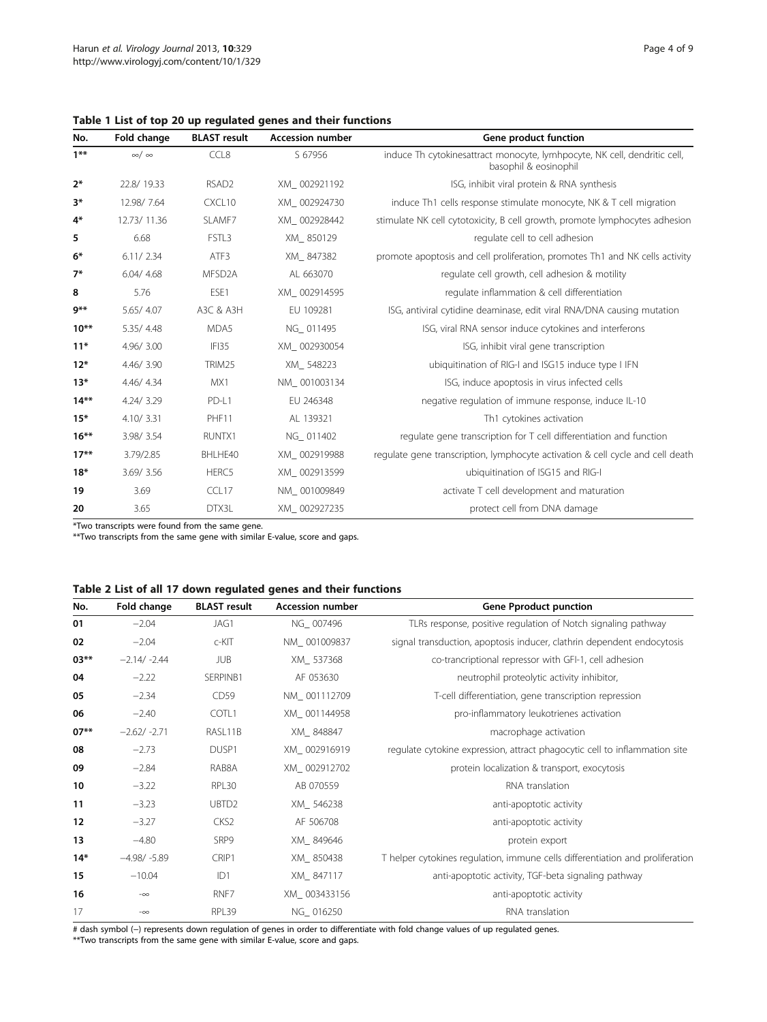| No.     | Fold change     | <b>BLAST</b> result | <b>Accession number</b> | Gene product function                                                                              |
|---------|-----------------|---------------------|-------------------------|----------------------------------------------------------------------------------------------------|
| $1***$  | $\infty/\infty$ | CCL8                | S 67956                 | induce Th cytokinesattract monocyte, lymhpocyte, NK cell, dendritic cell,<br>basophil & eosinophil |
| $2*$    | 22.8/19.33      | RSAD <sub>2</sub>   | XM 002921192            | ISG, inhibit viral protein & RNA synthesis                                                         |
| $3*$    | 12.98/7.64      | CXCL10              | XM 002924730            | induce Th1 cells response stimulate monocyte, NK & T cell migration                                |
| $4*$    | 12.73/11.36     | SLAMF7              | XM 002928442            | stimulate NK cell cytotoxicity, B cell growth, promote lymphocytes adhesion                        |
| 5       | 6.68            | FSTL3               | XM_850129               | regulate cell to cell adhesion                                                                     |
| $6*$    | 6.11/2.34       | ATF3                | XM 847382               | promote apoptosis and cell proliferation, promotes Th1 and NK cells activity                       |
| $7*$    | 6.04/4.68       | MFSD <sub>2</sub> A | AL 663070               | regulate cell growth, cell adhesion & motility                                                     |
| 8       | 5.76            | FSF1                | XM 002914595            | regulate inflammation & cell differentiation                                                       |
| $9**$   | 5.65/4.07       | A3C & A3H           | EU 109281               | ISG, antiviral cytidine deaminase, edit viral RNA/DNA causing mutation                             |
| $10**$  | 5.35/4.48       | MDA5                | NG 011495               | ISG, viral RNA sensor induce cytokines and interferons                                             |
| $11*$   | 4.96/3.00       | IFI35               | XM 002930054            | ISG, inhibit viral gene transcription                                                              |
| $12*$   | 4.46/3.90       | TRIM25              | XM 548223               | ubiquitination of RIG-I and ISG15 induce type I IFN                                                |
| $13*$   | 4.46/4.34       | MX1                 | NM 001003134            | ISG, induce apoptosis in virus infected cells                                                      |
| $14**$  | 4.24/3.29       | PD-L1               | EU 246348               | negative regulation of immune response, induce IL-10                                               |
| $15*$   | 4.10/3.31       | PHF11               | AL 139321               | Th1 cytokines activation                                                                           |
| $16***$ | 3.98/3.54       | RUNTX1              | NG 011402               | regulate gene transcription for T cell differentiation and function                                |
| $17***$ | 3.79/2.85       | BHLHE40             | XM 002919988            | regulate gene transcription, lymphocyte activation & cell cycle and cell death                     |
| $18*$   | 3.69/3.56       | HERC5               | XM 002913599            | ubiquitination of ISG15 and RIG-I                                                                  |
| 19      | 3.69            | CCL17               | NM 001009849            | activate T cell development and maturation                                                         |
| 20      | 3.65            | DTX3L               | XM 002927235            | protect cell from DNA damage                                                                       |

<span id="page-3-0"></span>Table 1 List of top 20 up regulated genes and their functions

\*Two transcripts were found from the same gene.

\*\*Two transcripts from the same gene with similar E-value, score and gaps.

| No.    | Fold change    | <b>BLAST</b> result | <b>Accession number</b> | <b>Gene Pproduct punction</b>                                                 |
|--------|----------------|---------------------|-------------------------|-------------------------------------------------------------------------------|
| 01     | $-2.04$        | JAG1                | NG 007496               | TLRs response, positive regulation of Notch signaling pathway                 |
| 02     | $-2.04$        | c-KIT               | NM_001009837            | signal transduction, apoptosis inducer, clathrin dependent endocytosis        |
| $03**$ | $-2.14/ -2.44$ | <b>JUB</b>          | XM 537368               | co-trancriptional repressor with GFI-1, cell adhesion                         |
| 04     | $-2.22$        | SERPINB1            | AF 053630               | neutrophil proteolytic activity inhibitor,                                    |
| 05     | $-2.34$        | CD59                | NM_001112709            | T-cell differentiation, gene transcription repression                         |
| 06     | $-2.40$        | COTL1               | XM 001144958            | pro-inflammatory leukotrienes activation                                      |
| $07**$ | $-2.62/ -2.71$ | RASL11B             | XM 848847               | macrophage activation                                                         |
| 08     | $-2.73$        | DUSP1               | XM_002916919            | regulate cytokine expression, attract phagocytic cell to inflammation site    |
| 09     | $-2.84$        | RAB8A               | XM 002912702            | protein localization & transport, exocytosis                                  |
| 10     | $-3.22$        | RPL30               | AB 070559               | RNA translation                                                               |
| 11     | $-3.23$        | UBTD <sub>2</sub>   | XM_546238               | anti-apoptotic activity                                                       |
| 12     | $-3.27$        | CKS <sub>2</sub>    | AF 506708               | anti-apoptotic activity                                                       |
| 13     | $-4.80$        | SRP9                | XM 849646               | protein export                                                                |
| $14*$  | $-4.98/ -5.89$ | CRIP1               | XM_850438               | T helper cytokines regulation, immune cells differentiation and proliferation |
| 15     | $-10.04$       | ID1                 | XM 847117               | anti-apoptotic activity, TGF-beta signaling pathway                           |
| 16     | $-\infty$      | RNF7                | XM 003433156            | anti-apoptotic activity                                                       |
| 17     | $-\infty$      | RPL39               | NG_016250               | RNA translation                                                               |

# dash symbol (−) represents down regulation of genes in order to differentiate with fold change values of up regulated genes.

\*\*Two transcripts from the same gene with similar E-value, score and gaps.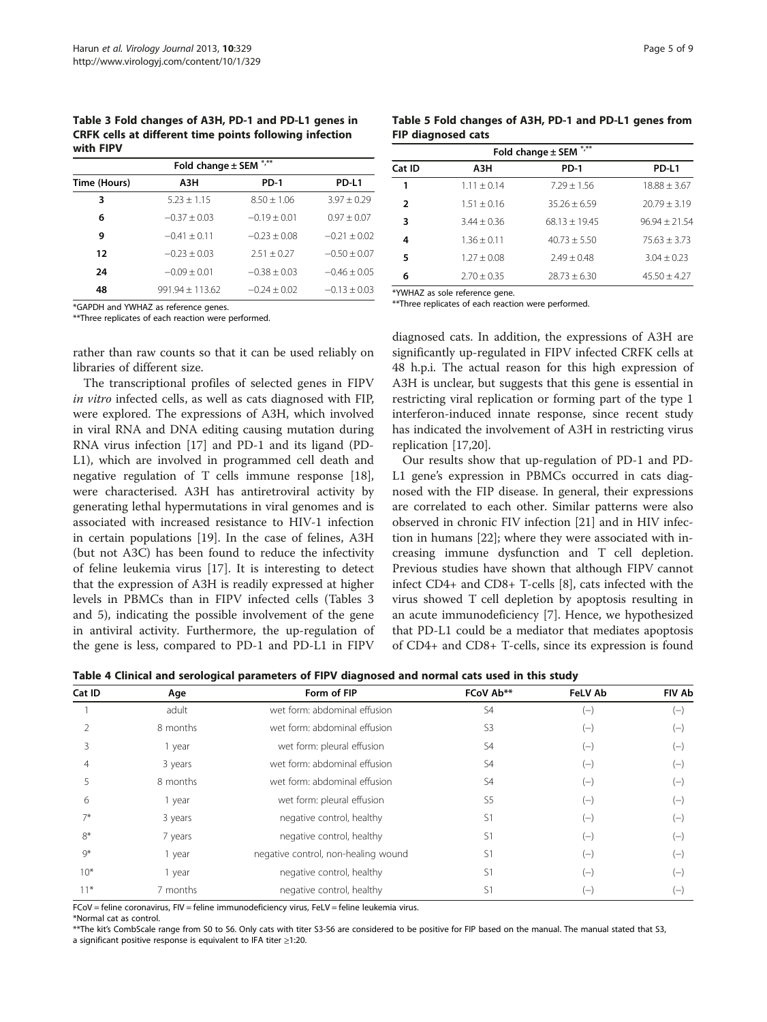<span id="page-4-0"></span>Table 3 Fold changes of A3H, PD-1 and PD-L1 genes in CRFK cells at different time points following infection with FIPV

| Fold change ± SEM *,** |                   |                |                |  |  |
|------------------------|-------------------|----------------|----------------|--|--|
| Time (Hours)           | АЗН               | <b>PD-1</b>    | PD-L1          |  |  |
| 3                      | $5.23 + 1.15$     | $8.50 + 1.06$  | $3.97 + 0.29$  |  |  |
| 6                      | $-0.37 + 0.03$    | $-0.19 + 0.01$ | $0.97 + 0.07$  |  |  |
| 9                      | $-0.41 + 0.11$    | $-0.23 + 0.08$ | $-0.21 + 0.02$ |  |  |
| 12                     | $-0.23 + 0.03$    | $2.51 + 0.27$  | $-0.50 + 0.07$ |  |  |
| 24                     | $-0.09 + 0.01$    | $-0.38 + 0.03$ | $-0.46 + 0.05$ |  |  |
| 48                     | $991.94 + 113.62$ | $-0.24 + 0.02$ | $-0.13 + 0.03$ |  |  |

\*GAPDH and YWHAZ as reference genes.

\*\*Three replicates of each reaction were performed.

rather than raw counts so that it can be used reliably on libraries of different size.

The transcriptional profiles of selected genes in FIPV in vitro infected cells, as well as cats diagnosed with FIP, were explored. The expressions of A3H, which involved in viral RNA and DNA editing causing mutation during RNA virus infection [[17\]](#page-7-0) and PD-1 and its ligand (PD-L1), which are involved in programmed cell death and negative regulation of T cells immune response [\[18](#page-7-0)], were characterised. A3H has antiretroviral activity by generating lethal hypermutations in viral genomes and is associated with increased resistance to HIV-1 infection in certain populations [\[19\]](#page-7-0). In the case of felines, A3H (but not A3C) has been found to reduce the infectivity of feline leukemia virus [\[17\]](#page-7-0). It is interesting to detect that the expression of A3H is readily expressed at higher levels in PBMCs than in FIPV infected cells (Tables 3 and 5), indicating the possible involvement of the gene in antiviral activity. Furthermore, the up-regulation of the gene is less, compared to PD-1 and PD-L1 in FIPV

| Table 5 Fold changes of A3H, PD-1 and PD-L1 genes from |  |  |  |
|--------------------------------------------------------|--|--|--|
| <b>FIP diagnosed cats</b>                              |  |  |  |

| Fold change $\pm$ SEM $^{*,**}$ |               |                 |                  |  |  |
|---------------------------------|---------------|-----------------|------------------|--|--|
| Cat ID                          | АЗН           | <b>PD-1</b>     | PD-L1            |  |  |
| 1                               | $1.11 + 0.14$ | $7.29 + 1.56$   | $18.88 + 3.67$   |  |  |
| 2                               | $1.51 + 0.16$ | $35.26 + 6.59$  | $20.79 \pm 3.19$ |  |  |
| 3                               | $3.44 + 0.36$ | $68.13 + 19.45$ | $96.94 + 21.54$  |  |  |
| 4                               | $1.36 + 0.11$ | $40.73 + 5.50$  | $75.63 + 3.73$   |  |  |
| 5                               | $1.27 + 0.08$ | $7.49 + 0.48$   | $3.04 + 0.23$    |  |  |
| 6                               | $2.70 + 0.35$ | $78.73 + 6.30$  | $45.50 + 4.27$   |  |  |

\*YWHAZ as sole reference gene.

\*\*Three replicates of each reaction were performed.

diagnosed cats. In addition, the expressions of A3H are significantly up-regulated in FIPV infected CRFK cells at 48 h.p.i. The actual reason for this high expression of A3H is unclear, but suggests that this gene is essential in restricting viral replication or forming part of the type 1 interferon-induced innate response, since recent study has indicated the involvement of A3H in restricting virus replication [\[17](#page-7-0)[,20](#page-8-0)].

Our results show that up-regulation of PD-1 and PD-L1 gene's expression in PBMCs occurred in cats diagnosed with the FIP disease. In general, their expressions are correlated to each other. Similar patterns were also observed in chronic FIV infection [[21](#page-8-0)] and in HIV infection in humans [\[22](#page-8-0)]; where they were associated with increasing immune dysfunction and T cell depletion. Previous studies have shown that although FIPV cannot infect CD4+ and CD8+ T-cells [\[8\]](#page-7-0), cats infected with the virus showed T cell depletion by apoptosis resulting in an acute immunodeficiency [\[7](#page-7-0)]. Hence, we hypothesized that PD-L1 could be a mediator that mediates apoptosis of CD4+ and CD8+ T-cells, since its expression is found

Table 4 Clinical and serological parameters of FIPV diagnosed and normal cats used in this study

| Cat ID | Age      | Form of FIP                         | FCoV Ab**      | <b>FeLV Ab</b> | <b>FIV Ab</b> |
|--------|----------|-------------------------------------|----------------|----------------|---------------|
|        | adult    | wet form: abdominal effusion        | S4             | $(-)$          | $(-)$         |
|        | 8 months | wet form: abdominal effusion        | S3             | $(-)$          | $(-)$         |
|        | 1 year   | wet form: pleural effusion          | S4             | $(-)$          | $(-)$         |
|        | 3 years  | wet form: abdominal effusion        | S4             | $(-)$          | $(-)$         |
|        | 8 months | wet form: abdominal effusion        | S4             | $(-)$          | $(-)$         |
| 6      | 1 year   | wet form: pleural effusion          | S <sub>5</sub> | $(-)$          | $(-)$         |
| $7*$   | 3 years  | negative control, healthy           | S1             | $(-)$          | $(-)$         |
| $8*$   | 7 years  | negative control, healthy           | S1             | $(-)$          | $(-)$         |
| $Q^*$  | 1 year   | negative control, non-healing wound | S1             | $(-)$          | $(-)$         |
| $10*$  | 1 year   | negative control, healthy           | S1             | $(-)$          | $(-)$         |
| $11*$  | 7 months | negative control, healthy           | S1             | $(-)$          | $(-$          |

FCoV = feline coronavirus, FIV = feline immunodeficiency virus, FeLV = feline leukemia virus.

\*Normal cat as control.

\*\*The kit's CombScale range from S0 to S6. Only cats with titer S3-S6 are considered to be positive for FIP based on the manual. The manual stated that S3,

a significant positive response is equivalent to IFA titer ≥1:20.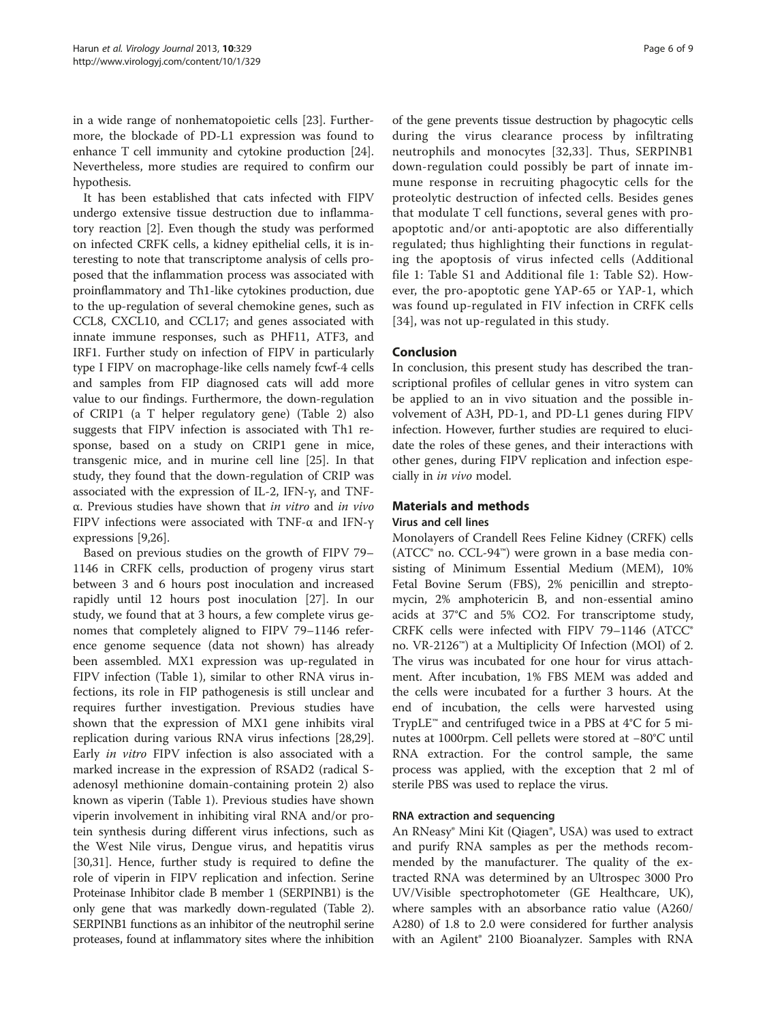in a wide range of nonhematopoietic cells [[23\]](#page-8-0). Furthermore, the blockade of PD-L1 expression was found to enhance T cell immunity and cytokine production [\[24](#page-8-0)]. Nevertheless, more studies are required to confirm our hypothesis.

It has been established that cats infected with FIPV undergo extensive tissue destruction due to inflammatory reaction [[2\]](#page-7-0). Even though the study was performed on infected CRFK cells, a kidney epithelial cells, it is interesting to note that transcriptome analysis of cells proposed that the inflammation process was associated with proinflammatory and Th1-like cytokines production, due to the up-regulation of several chemokine genes, such as CCL8, CXCL10, and CCL17; and genes associated with innate immune responses, such as PHF11, ATF3, and IRF1. Further study on infection of FIPV in particularly type I FIPV on macrophage-like cells namely fcwf-4 cells and samples from FIP diagnosed cats will add more value to our findings. Furthermore, the down-regulation of CRIP1 (a T helper regulatory gene) (Table [2](#page-3-0)) also suggests that FIPV infection is associated with Th1 response, based on a study on CRIP1 gene in mice, transgenic mice, and in murine cell line [\[25](#page-8-0)]. In that study, they found that the down-regulation of CRIP was associated with the expression of IL-2, IFN-γ, and TNFα. Previous studies have shown that in vitro and in vivo FIPV infections were associated with TNF-α and IFN-γ expressions [[9,](#page-7-0)[26\]](#page-8-0).

Based on previous studies on the growth of FIPV 79– 1146 in CRFK cells, production of progeny virus start between 3 and 6 hours post inoculation and increased rapidly until 12 hours post inoculation [\[27](#page-8-0)]. In our study, we found that at 3 hours, a few complete virus genomes that completely aligned to FIPV 79–1146 reference genome sequence (data not shown) has already been assembled. MX1 expression was up-regulated in FIPV infection (Table [1](#page-3-0)), similar to other RNA virus infections, its role in FIP pathogenesis is still unclear and requires further investigation. Previous studies have shown that the expression of MX1 gene inhibits viral replication during various RNA virus infections [\[28,29](#page-8-0)]. Early in vitro FIPV infection is also associated with a marked increase in the expression of RSAD2 (radical Sadenosyl methionine domain-containing protein 2) also known as viperin (Table [1](#page-3-0)). Previous studies have shown viperin involvement in inhibiting viral RNA and/or protein synthesis during different virus infections, such as the West Nile virus, Dengue virus, and hepatitis virus [[30,31\]](#page-8-0). Hence, further study is required to define the role of viperin in FIPV replication and infection. Serine Proteinase Inhibitor clade B member 1 (SERPINB1) is the only gene that was markedly down-regulated (Table [2](#page-3-0)). SERPINB1 functions as an inhibitor of the neutrophil serine proteases, found at inflammatory sites where the inhibition

of the gene prevents tissue destruction by phagocytic cells during the virus clearance process by infiltrating neutrophils and monocytes [[32,33\]](#page-8-0). Thus, SERPINB1 down-regulation could possibly be part of innate immune response in recruiting phagocytic cells for the proteolytic destruction of infected cells. Besides genes that modulate T cell functions, several genes with proapoptotic and/or anti-apoptotic are also differentially regulated; thus highlighting their functions in regulating the apoptosis of virus infected cells (Additional file [1:](#page-7-0) Table S1 and Additional file [1:](#page-7-0) Table S2). However, the pro-apoptotic gene YAP-65 or YAP-1, which was found up-regulated in FIV infection in CRFK cells [[34](#page-8-0)], was not up-regulated in this study.

## Conclusion

In conclusion, this present study has described the transcriptional profiles of cellular genes in vitro system can be applied to an in vivo situation and the possible involvement of A3H, PD-1, and PD-L1 genes during FIPV infection. However, further studies are required to elucidate the roles of these genes, and their interactions with other genes, during FIPV replication and infection especially in in vivo model.

## Materials and methods

## Virus and cell lines

Monolayers of Crandell Rees Feline Kidney (CRFK) cells (ATCC® no. CCL-94™) were grown in a base media consisting of Minimum Essential Medium (MEM), 10% Fetal Bovine Serum (FBS), 2% penicillin and streptomycin, 2% amphotericin B, and non-essential amino acids at 37°C and 5% CO2. For transcriptome study, CRFK cells were infected with FIPV 79–1146 (ATCC® no. VR-2126™) at a Multiplicity Of Infection (MOI) of 2. The virus was incubated for one hour for virus attachment. After incubation, 1% FBS MEM was added and the cells were incubated for a further 3 hours. At the end of incubation, the cells were harvested using TrypLE™ and centrifuged twice in a PBS at 4°C for 5 minutes at 1000rpm. Cell pellets were stored at −80°C until RNA extraction. For the control sample, the same process was applied, with the exception that 2 ml of sterile PBS was used to replace the virus.

## RNA extraction and sequencing

An RNeasy® Mini Kit (Qiagen®, USA) was used to extract and purify RNA samples as per the methods recommended by the manufacturer. The quality of the extracted RNA was determined by an Ultrospec 3000 Pro UV/Visible spectrophotometer (GE Healthcare, UK), where samples with an absorbance ratio value (A260/ A280) of 1.8 to 2.0 were considered for further analysis with an Agilent® 2100 Bioanalyzer. Samples with RNA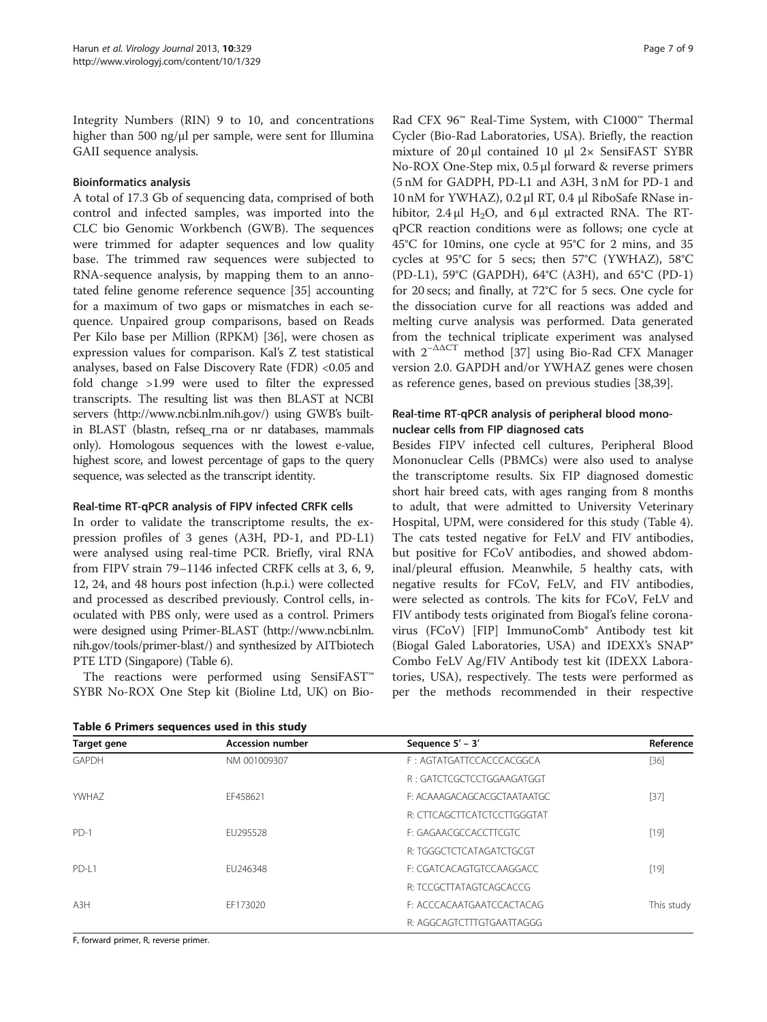Integrity Numbers (RIN) 9 to 10, and concentrations higher than 500 ng/μl per sample, were sent for Illumina GAII sequence analysis.

## Bioinformatics analysis

A total of 17.3 Gb of sequencing data, comprised of both control and infected samples, was imported into the CLC bio Genomic Workbench (GWB). The sequences were trimmed for adapter sequences and low quality base. The trimmed raw sequences were subjected to RNA-sequence analysis, by mapping them to an annotated feline genome reference sequence [[35\]](#page-8-0) accounting for a maximum of two gaps or mismatches in each sequence. Unpaired group comparisons, based on Reads Per Kilo base per Million (RPKM) [[36\]](#page-8-0), were chosen as expression values for comparison. Kal's Z test statistical analyses, based on False Discovery Rate (FDR) <0.05 and fold change >1.99 were used to filter the expressed transcripts. The resulting list was then BLAST at NCBI servers [\(http://www.ncbi.nlm.nih.gov/\)](http://www.ncbi.nlm.nih.gov/) using GWB's builtin BLAST (blastn, refseq\_rna or nr databases, mammals only). Homologous sequences with the lowest e-value, highest score, and lowest percentage of gaps to the query sequence, was selected as the transcript identity.

## Real-time RT-qPCR analysis of FIPV infected CRFK cells

In order to validate the transcriptome results, the expression profiles of 3 genes (A3H, PD-1, and PD-L1) were analysed using real-time PCR. Briefly, viral RNA from FIPV strain 79–1146 infected CRFK cells at 3, 6, 9, 12, 24, and 48 hours post infection (h.p.i.) were collected and processed as described previously. Control cells, inoculated with PBS only, were used as a control. Primers were designed using Primer-BLAST [\(http://www.ncbi.nlm.](http://www.ncbi.nlm.nih.gov/tools/primer-blast/) [nih.gov/tools/primer-blast/](http://www.ncbi.nlm.nih.gov/tools/primer-blast/)) and synthesized by AITbiotech PTE LTD (Singapore) (Table 6).

The reactions were performed using SensiFAST™ SYBR No-ROX One Step kit (Bioline Ltd, UK) on Bio-

Table 6 Primers sequences used in this study

Rad CFX 96™ Real-Time System, with C1000™ Thermal Cycler (Bio-Rad Laboratories, USA). Briefly, the reaction mixture of 20 μl contained 10 μl 2× SensiFAST SYBR No-ROX One-Step mix, 0.5 μl forward & reverse primers (5 nM for GADPH, PD-L1 and A3H, 3 nM for PD-1 and 10 nM for YWHAZ), 0.2 μl RT, 0.4 μl RiboSafe RNase inhibitor,  $2.4 \mu$ l H<sub>2</sub>O, and 6  $\mu$ l extracted RNA. The RTqPCR reaction conditions were as follows; one cycle at 45°C for 10mins, one cycle at 95°C for 2 mins, and 35 cycles at 95°C for 5 secs; then 57°C (YWHAZ), 58°C (PD-L1), 59°C (GAPDH), 64°C (A3H), and 65°C (PD-1) for 20 secs; and finally, at 72°C for 5 secs. One cycle for the dissociation curve for all reactions was added and melting curve analysis was performed. Data generated from the technical triplicate experiment was analysed with  $2^{-\Delta\Delta CT}$  method [\[37](#page-8-0)] using Bio-Rad CFX Manager version 2.0. GAPDH and/or YWHAZ genes were chosen as reference genes, based on previous studies [[38,39\]](#page-8-0).

## Real-time RT-qPCR analysis of peripheral blood mononuclear cells from FIP diagnosed cats

Besides FIPV infected cell cultures, Peripheral Blood Mononuclear Cells (PBMCs) were also used to analyse the transcriptome results. Six FIP diagnosed domestic short hair breed cats, with ages ranging from 8 months to adult, that were admitted to University Veterinary Hospital, UPM, were considered for this study (Table [4](#page-4-0)). The cats tested negative for FeLV and FIV antibodies, but positive for FCoV antibodies, and showed abdominal/pleural effusion. Meanwhile, 5 healthy cats, with negative results for FCoV, FeLV, and FIV antibodies, were selected as controls. The kits for FCoV, FeLV and FIV antibody tests originated from Biogal's feline coronavirus (FCoV) [FIP] ImmunoComb® Antibody test kit (Biogal Galed Laboratories, USA) and IDEXX's SNAP® Combo FeLV Ag/FIV Antibody test kit (IDEXX Laboratories, USA), respectively. The tests were performed as per the methods recommended in their respective

| Target gene | <b>Accession number</b> | Sequence 5' - 3'            | Reference  |
|-------------|-------------------------|-----------------------------|------------|
| GAPDH       | NM 001009307            | F: AGTATGATTCCACCCACGGCA    | $[36]$     |
|             |                         | R : GATCTCGCTCCTGGAAGATGGT  |            |
| YWHAZ       | EF458621                | F: ACAAAGACAGCACGCTAATAATGC | $[37]$     |
|             |                         | R: CTTCAGCTTCATCTCCTTGGGTAT |            |
| $PD-1$      | FU295528                | E: GAGAACGCCACCTTCGTC       | $[19]$     |
|             |                         | R: TGGGCTCTCATAGATCTGCGT    |            |
| PD-L1       | FU246348                | F: CGATCACAGTGTCCAAGGACC    | $[19]$     |
|             |                         | R: TCCGCTTATAGTCAGCACCG     |            |
| A3H         | FF173020                | F: ACCCACAATGAATCCACTACAG   | This study |
|             |                         | R: AGGCAGTCTTTGTGAATTAGGG   |            |

F, forward primer, R, reverse primer.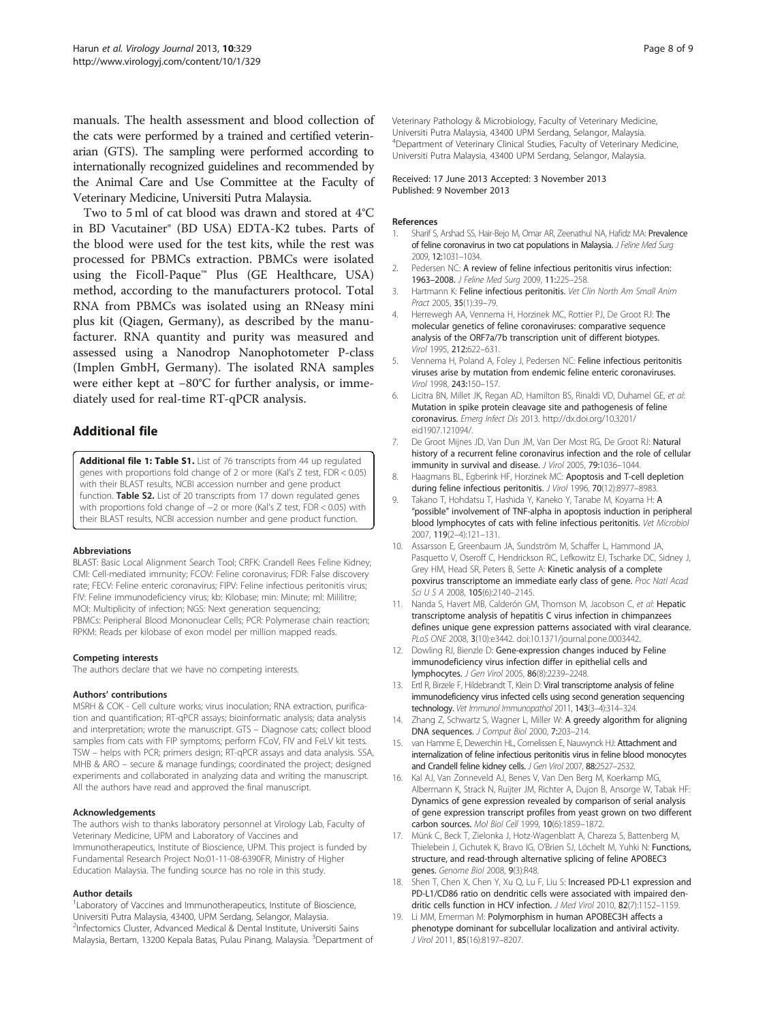<span id="page-7-0"></span>manuals. The health assessment and blood collection of the cats were performed by a trained and certified veterinarian (GTS). The sampling were performed according to internationally recognized guidelines and recommended by the Animal Care and Use Committee at the Faculty of Veterinary Medicine, Universiti Putra Malaysia.

Two to 5 ml of cat blood was drawn and stored at 4°C in BD Vacutainer® (BD USA) EDTA-K2 tubes. Parts of the blood were used for the test kits, while the rest was processed for PBMCs extraction. PBMCs were isolated using the Ficoll-Paque™ Plus (GE Healthcare, USA) method, according to the manufacturers protocol. Total RNA from PBMCs was isolated using an RNeasy mini plus kit (Qiagen, Germany), as described by the manufacturer. RNA quantity and purity was measured and assessed using a Nanodrop Nanophotometer P-class (Implen GmbH, Germany). The isolated RNA samples were either kept at −80°C for further analysis, or immediately used for real-time RT-qPCR analysis.

## Additional file

[Additional file 1: Table S1.](http://www.biomedcentral.com/content/supplementary/1743-422X-10-329-S1.docx) List of 76 transcripts from 44 up regulated genes with proportions fold change of 2 or more (Kal's Z test, FDR < 0.05) with their BLAST results, NCBI accession number and gene product function. Table S2. List of 20 transcripts from 17 down regulated genes with proportions fold change of −2 or more (Kal's Z test, FDR < 0.05) with their BLAST results, NCBI accession number and gene product function.

#### Abbreviations

BLAST: Basic Local Alignment Search Tool; CRFK: Crandell Rees Feline Kidney; CMI: Cell-mediated immunity; FCOV: Feline coronavirus; FDR: False discovery rate; FECV: Feline enteric coronavirus; FIPV: Feline infectious peritonitis virus; FIV: Feline immunodeficiency virus; kb: Kilobase; min: Minute; ml: Mililitre; MOI: Multiplicity of infection; NGS: Next generation sequencing; PBMCs: Peripheral Blood Mononuclear Cells; PCR: Polymerase chain reaction; RPKM: Reads per kilobase of exon model per million mapped reads.

#### Competing interests

The authors declare that we have no competing interests.

#### Authors' contributions

MSRH & COK - Cell culture works; virus inoculation; RNA extraction, purification and quantification; RT-qPCR assays; bioinformatic analysis; data analysis and interpretation; wrote the manuscript. GTS – Diagnose cats; collect blood samples from cats with FIP symptoms; perform FCoV, FIV and FeLV kit tests. TSW – helps with PCR; primers design; RT-qPCR assays and data analysis. SSA, MHB & ARO – secure & manage fundings; coordinated the project; designed experiments and collaborated in analyzing data and writing the manuscript. All the authors have read and approved the final manuscript.

#### Acknowledgements

The authors wish to thanks laboratory personnel at Virology Lab, Faculty of Veterinary Medicine, UPM and Laboratory of Vaccines and Immunotherapeutics, Institute of Bioscience, UPM. This project is funded by Fundamental Research Project No:01-11-08-6390FR, Ministry of Higher Education Malaysia. The funding source has no role in this study.

#### Author details

<sup>1</sup> Laboratory of Vaccines and Immunotherapeutics, Institute of Bioscience, Universiti Putra Malaysia, 43400, UPM Serdang, Selangor, Malaysia. 2 Infectomics Cluster, Advanced Medical & Dental Institute, Universiti Sains Malaysia, Bertam, 13200 Kepala Batas, Pulau Pinang, Malaysia. <sup>3</sup>Department of

Veterinary Pathology & Microbiology, Faculty of Veterinary Medicine, Universiti Putra Malaysia, 43400 UPM Serdang, Selangor, Malaysia. 4 Department of Veterinary Clinical Studies, Faculty of Veterinary Medicine, Universiti Putra Malaysia, 43400 UPM Serdang, Selangor, Malaysia.

#### Received: 17 June 2013 Accepted: 3 November 2013 Published: 9 November 2013

#### References

- 1. Sharif S, Arshad SS, Hair-Bejo M, Omar AR, Zeenathul NA, Hafidz MA: Prevalence of feline coronavirus in two cat populations in Malaysia. J Feline Med Surg 2009, 12:1031–1034.
- 2. Pedersen NC: A review of feline infectious peritonitis virus infection: 1963–2008. J Feline Med Surg 2009, 11:225–258.
- 3. Hartmann K: Feline infectious peritonitis. Vet Clin North Am Small Anim Pract 2005, 35(1):39–79.
- 4. Herrewegh AA, Vennema H, Horzinek MC, Rottier PJ, De Groot RJ: The molecular genetics of feline coronaviruses: comparative sequence analysis of the ORF7a/7b transcription unit of different biotypes. Virol 1995, 212:622–631.
- Vennema H, Poland A, Foley J, Pedersen NC: Feline infectious peritonitis viruses arise by mutation from endemic feline enteric coronaviruses. Virol 1998, 243:150–157.
- 6. Licitra BN, Millet JK, Regan AD, Hamilton BS, Rinaldi VD, Duhamel GE, et al: Mutation in spike protein cleavage site and pathogenesis of feline coronavirus. Emerg Infect Dis 2013. http://dx.doi.org/10.3201/ eid1907.121094/.
- 7. De Groot Mijnes JD, Van Dun JM, Van Der Most RG, De Groot RJ: Natural history of a recurrent feline coronavirus infection and the role of cellular immunity in survival and disease. J Virol 2005, 79:1036-1044.
- 8. Haagmans BL, Egberink HF, Horzinek MC: Apoptosis and T-cell depletion during feline infectious peritonitis. J Virol 1996, 70(12):8977-8983.
- 9. Takano T, Hohdatsu T, Hashida Y, Kaneko Y, Tanabe M, Koyama H: A "possible" involvement of TNF-alpha in apoptosis induction in peripheral blood lymphocytes of cats with feline infectious peritonitis. Vet Microbiol 2007, 119(2–4):121–131.
- 10. Assarsson E, Greenbaum JA, Sundström M, Schaffer L, Hammond JA, Pasquetto V, Oseroff C, Hendrickson RC, Lefkowitz EJ, Tscharke DC, Sidney J, Grey HM, Head SR, Peters B, Sette A: Kinetic analysis of a complete poxvirus transcriptome an immediate early class of gene. Proc Natl Acad .<br>Sci U S A 2008, **105**(6):2140–2145.
- 11. Nanda S, Havert MB, Calderón GM, Thomson M, Jacobson C, et al: Hepatic transcriptome analysis of hepatitis C virus infection in chimpanzees defines unique gene expression patterns associated with viral clearance. PLoS ONE 2008, 3(10):e3442. doi:10.1371/journal.pone.0003442.
- 12. Dowling RJ, Bienzle D: Gene-expression changes induced by Feline immunodeficiency virus infection differ in epithelial cells and lymphocytes. J Gen Virol 2005, 86(8):2239–2248.
- 13. Ertl R, Birzele F, Hildebrandt T, Klein D: Viral transcriptome analysis of feline immunodeficiency virus infected cells using second generation sequencing technology. Vet Immunol Immunopathol 2011, 143(3–4):314–324.
- 14. Zhang Z, Schwartz S, Wagner L, Miller W: A greedy algorithm for aligning DNA sequences. J Comput Biol 2000, 7:203–214.
- 15. van Hamme E, Dewerchin HL, Cornelissen E, Nauwynck HJ: Attachment and internalization of feline infectious peritonitis virus in feline blood monocytes and Crandell feline kidney cells. J Gen Virol 2007, 88:2527-2532.
- 16. Kal AJ, Van Zonneveld AJ, Benes V, Van Den Berg M, Koerkamp MG, Albermann K, Strack N, Ruijter JM, Richter A, Dujon B, Ansorge W, Tabak HF: Dynamics of gene expression revealed by comparison of serial analysis of gene expression transcript profiles from yeast grown on two different carbon sources. Mol Biol Cell 1999, 10(6):1859–1872.
- 17. Münk C, Beck T, Zielonka J, Hotz-Wagenblatt A, Chareza S, Battenberg M, Thielebein J, Cichutek K, Bravo IG, O'Brien SJ, Löchelt M, Yuhki N: Functions, structure, and read-through alternative splicing of feline APOBEC3 genes. Genome Biol 2008, 9(3):R48.
- 18. Shen T, Chen X, Chen Y, Xu Q, Lu F, Liu S: Increased PD-L1 expression and PD-L1/CD86 ratio on dendritic cells were associated with impaired dendritic cells function in HCV infection. J Med Virol 2010, 82(7):1152–1159.
- 19. Li MM, Emerman M: Polymorphism in human APOBEC3H affects a phenotype dominant for subcellular localization and antiviral activity. J Virol 2011, 85(16):8197–8207.